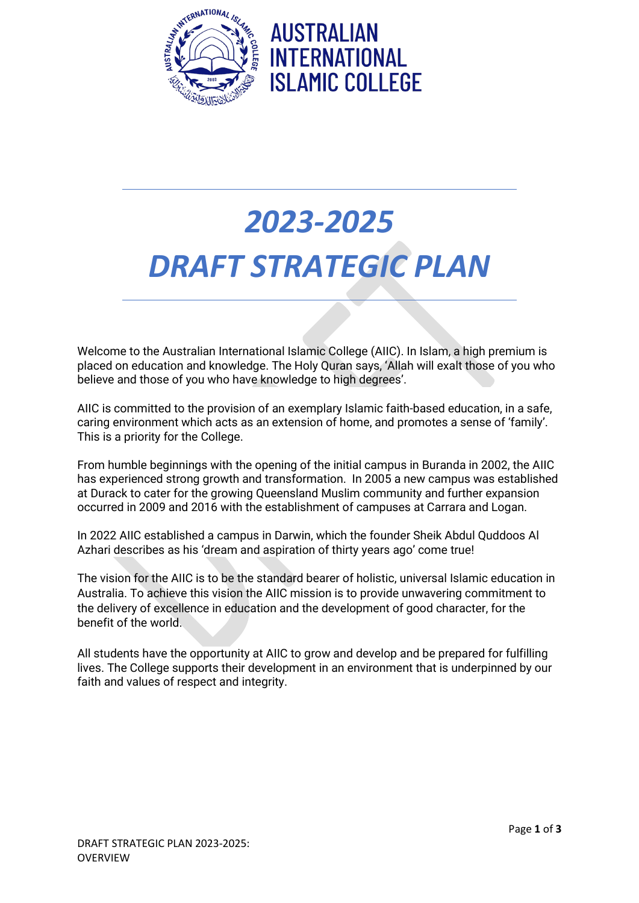

## *2023-2025 DRAFT STRATEGIC PLAN*

Welcome to the Australian International Islamic College (AIIC). In Islam, a high premium is placed on education and knowledge. The Holy Quran says, 'Allah will exalt those of you who believe and those of you who have knowledge to high degrees'.

AIIC is committed to the provision of an exemplary Islamic faith-based education, in a safe, caring environment which acts as an extension of home, and promotes a sense of 'family'. This is a priority for the College.

From humble beginnings with the opening of the initial campus in Buranda in 2002, the AIIC has experienced strong growth and transformation. In 2005 a new campus was established at Durack to cater for the growing Queensland Muslim community and further expansion occurred in 2009 and 2016 with the establishment of campuses at Carrara and Logan.

In 2022 AIIC established a campus in Darwin, which the founder Sheik Abdul Quddoos Al Azhari describes as his 'dream and aspiration of thirty years ago' come true!

The vision for the AIIC is to be the standard bearer of holistic, universal Islamic education in Australia. To achieve this vision the AIIC mission is to provide unwavering commitment to the delivery of excellence in education and the development of good character, for the benefit of the world.

All students have the opportunity at AIIC to grow and develop and be prepared for fulfilling lives. The College supports their development in an environment that is underpinned by our faith and values of respect and integrity.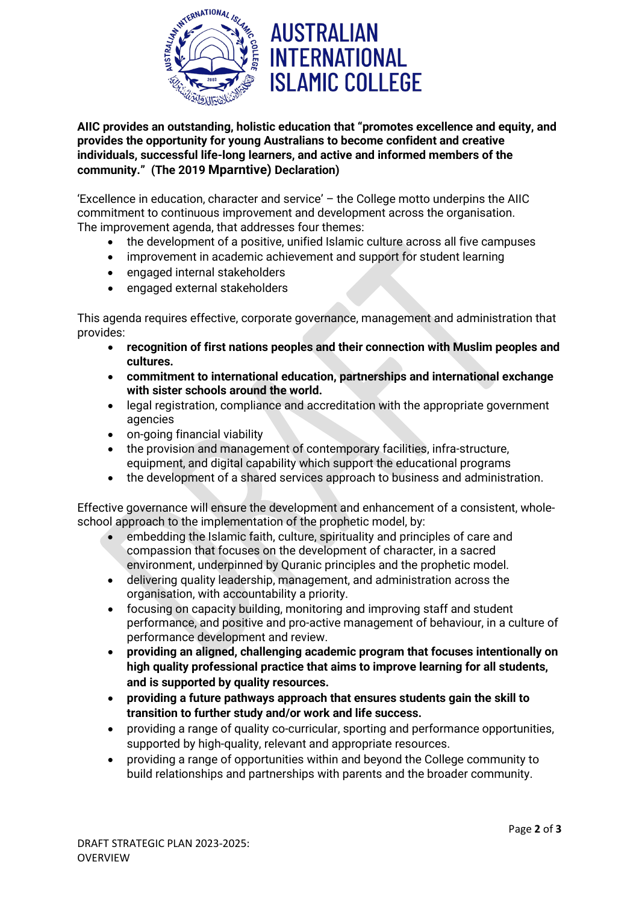

## **AUSTRALIAN INTERNATIONAL ISLAMIC COLLEGE**

**AIIC provides an outstanding, holistic education that "promotes excellence and equity, and provides the opportunity for young Australians to become confident and creative individuals, successful life-long learners, and active and informed members of the community." (The 2019 Mparntive) Declaration)** 

'Excellence in education, character and service' – the College motto underpins the AIIC commitment to continuous improvement and development across the organisation. The improvement agenda, that addresses four themes:

- the development of a positive, unified Islamic culture across all five campuses
- improvement in academic achievement and support for student learning
- engaged internal stakeholders
- engaged external stakeholders

This agenda requires effective, corporate governance, management and administration that provides:

- **recognition of first nations peoples and their connection with Muslim peoples and cultures.**
- **commitment to international education, partnerships and international exchange with sister schools around the world.**
- legal registration, compliance and accreditation with the appropriate government agencies
- on-going financial viability
- the provision and management of contemporary facilities, infra-structure, equipment, and digital capability which support the educational programs
- the development of a shared services approach to business and administration.

Effective governance will ensure the development and enhancement of a consistent, wholeschool approach to the implementation of the prophetic model, by:

- embedding the Islamic faith, culture, spirituality and principles of care and compassion that focuses on the development of character, in a sacred environment, underpinned by Quranic principles and the prophetic model.
- delivering quality leadership, management, and administration across the organisation, with accountability a priority.
- focusing on capacity building, monitoring and improving staff and student performance, and positive and pro-active management of behaviour, in a culture of performance development and review.
- **providing an aligned, challenging academic program that focuses intentionally on high quality professional practice that aims to improve learning for all students, and is supported by quality resources.**
- **providing a future pathways approach that ensures students gain the skill to transition to further study and/or work and life success.**
- providing a range of quality co-curricular, sporting and performance opportunities, supported by high-quality, relevant and appropriate resources.
- providing a range of opportunities within and beyond the College community to build relationships and partnerships with parents and the broader community.